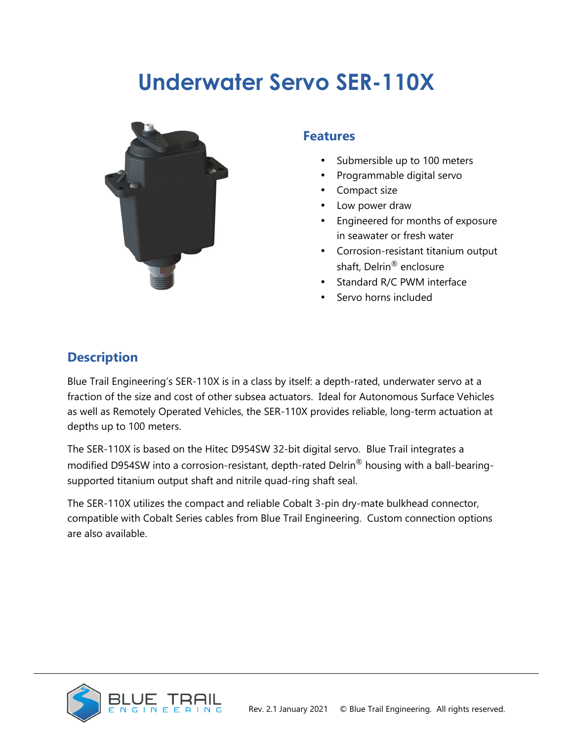# **Underwater Servo SER-110X**



#### **Features**

- Submersible up to 100 meters
- Programmable digital servo
- Compact size
- Low power draw
- Engineered for months of exposure in seawater or fresh water
- Corrosion-resistant titanium output shaft, Delrin® enclosure
- Standard R/C PWM interface
- Servo horns included

### **Description**

Blue Trail Engineering's SER-110X is in a class by itself: a depth-rated, underwater servo at a fraction of the size and cost of other subsea actuators. Ideal for Autonomous Surface Vehicles as well as Remotely Operated Vehicles, the SER-110X provides reliable, long-term actuation at depths up to 100 meters.

The SER-110X is based on the Hitec D954SW 32-bit digital servo. Blue Trail integrates a modified D954SW into a corrosion-resistant, depth-rated Delrin® housing with a ball-bearingsupported titanium output shaft and nitrile quad-ring shaft seal.

The SER-110X utilizes the compact and reliable Cobalt 3-pin dry-mate bulkhead connector, compatible with Cobalt Series cables from Blue Trail Engineering. Custom connection options are also available.

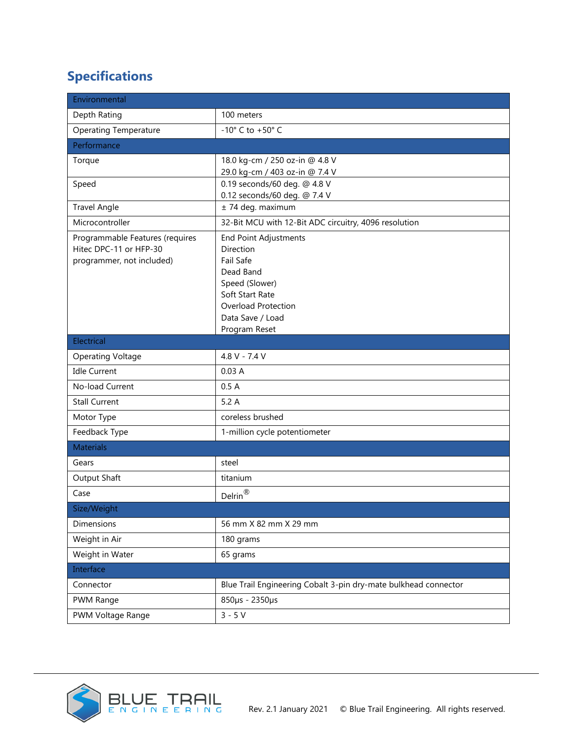# **Specifications**

| Environmental                                                                          |                                                                                                                                                                      |  |
|----------------------------------------------------------------------------------------|----------------------------------------------------------------------------------------------------------------------------------------------------------------------|--|
| Depth Rating                                                                           | 100 meters                                                                                                                                                           |  |
| <b>Operating Temperature</b>                                                           | -10 $^{\circ}$ C to +50 $^{\circ}$ C                                                                                                                                 |  |
| Performance                                                                            |                                                                                                                                                                      |  |
| Torque                                                                                 | 18.0 kg-cm / 250 oz-in @ 4.8 V<br>29.0 kg-cm / 403 oz-in @ 7.4 V                                                                                                     |  |
| Speed                                                                                  | 0.19 seconds/60 deg. @ 4.8 V<br>0.12 seconds/60 deg. @ 7.4 V                                                                                                         |  |
| <b>Travel Angle</b>                                                                    | ± 74 deg. maximum                                                                                                                                                    |  |
| Microcontroller                                                                        | 32-Bit MCU with 12-Bit ADC circuitry, 4096 resolution                                                                                                                |  |
| Programmable Features (requires<br>Hitec DPC-11 or HFP-30<br>programmer, not included) | <b>End Point Adjustments</b><br>Direction<br>Fail Safe<br>Dead Band<br>Speed (Slower)<br>Soft Start Rate<br>Overload Protection<br>Data Save / Load<br>Program Reset |  |
| Electrical                                                                             |                                                                                                                                                                      |  |
| <b>Operating Voltage</b>                                                               | 4.8 V - 7.4 V                                                                                                                                                        |  |
| <b>Idle Current</b>                                                                    | 0.03A                                                                                                                                                                |  |
| No-load Current                                                                        | 0.5A                                                                                                                                                                 |  |
| <b>Stall Current</b>                                                                   | 5.2A                                                                                                                                                                 |  |
| Motor Type                                                                             | coreless brushed                                                                                                                                                     |  |
| Feedback Type                                                                          | 1-million cycle potentiometer                                                                                                                                        |  |
| <b>Materials</b>                                                                       |                                                                                                                                                                      |  |
| Gears                                                                                  | steel                                                                                                                                                                |  |
| Output Shaft                                                                           | titanium                                                                                                                                                             |  |
| Case                                                                                   | Delrin $^{\circledR}$                                                                                                                                                |  |
| Size/Weight                                                                            |                                                                                                                                                                      |  |
| Dimensions                                                                             | 56 mm X 82 mm X 29 mm                                                                                                                                                |  |
| Weight in Air                                                                          | 180 grams                                                                                                                                                            |  |
| Weight in Water                                                                        | 65 grams                                                                                                                                                             |  |
| Interface                                                                              |                                                                                                                                                                      |  |
| Connector                                                                              | Blue Trail Engineering Cobalt 3-pin dry-mate bulkhead connector                                                                                                      |  |
| PWM Range                                                                              | 850µs - 2350µs                                                                                                                                                       |  |
| PWM Voltage Range                                                                      | $3 - 5V$                                                                                                                                                             |  |

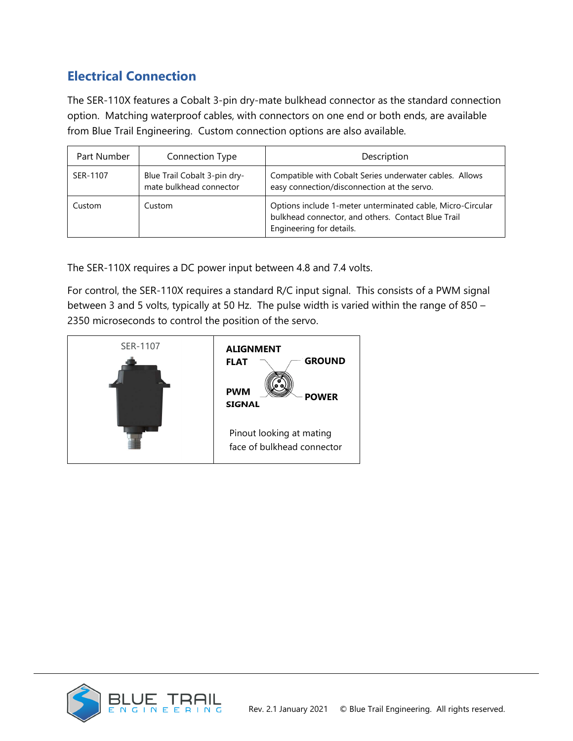## **Electrical Connection**

The SER-110X features a Cobalt 3-pin dry-mate bulkhead connector as the standard connection option. Matching waterproof cables, with connectors on one end or both ends, are available from Blue Trail Engineering. Custom connection options are also available.

| Part Number | Connection Type                                         | Description                                                                                                                                  |
|-------------|---------------------------------------------------------|----------------------------------------------------------------------------------------------------------------------------------------------|
| SER-1107    | Blue Trail Cobalt 3-pin dry-<br>mate bulkhead connector | Compatible with Cobalt Series underwater cables. Allows<br>easy connection/disconnection at the servo.                                       |
| Custom      | Custom                                                  | Options include 1-meter unterminated cable, Micro-Circular<br>bulkhead connector, and others. Contact Blue Trail<br>Engineering for details. |

The SER-110X requires a DC power input between 4.8 and 7.4 volts.

For control, the SER-110X requires a standard R/C input signal. This consists of a PWM signal between 3 and 5 volts, typically at 50 Hz. The pulse width is varied within the range of 850 – 2350 microseconds to control the position of the servo.



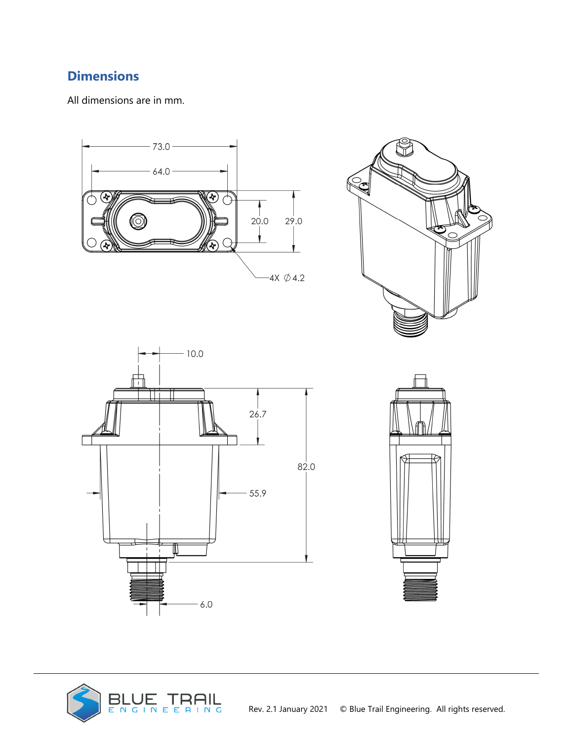## **Dimensions**

All dimensions are in mm.